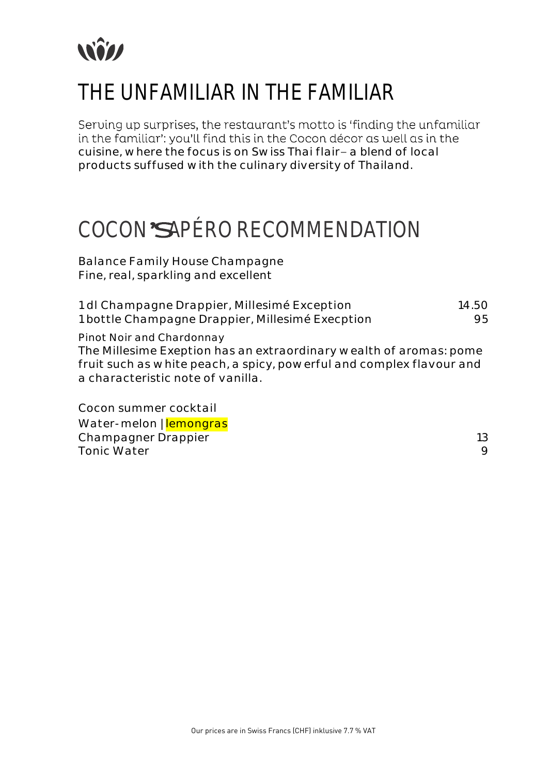

### THE UNFAMILIAR IN THE FAMILIAR

Serving up surprises, the restaurant's motto is 'finding the unfamiliar in the familiar': you'll find this in the Cocon décor as well as in the cuisine, where the focus is on Swiss Thai flair- a blend of local products suffused with the culinary diversity of Thailand.

#### COCON'SAPÉRO RECOMMENDATION

Balance Family House Champagne Fine, real, sparkling and excellent

| 1 dl Champagne Drappier, Millesimé Exception     | 14.50 |
|--------------------------------------------------|-------|
| 1 bottle Champagne Drappier, Millesimé Execption | 95.   |

Pinot Noir and Chardonnay

The Millesime Exeption has an extraordinary wealth of aromas: pome fruit such as white peach, a spicy, powerful and complex flavour and a characteristic note of vanilla.

Cocon summer cocktail Water-melon | lemongras Champagner Drappier 13 Tonic Water 9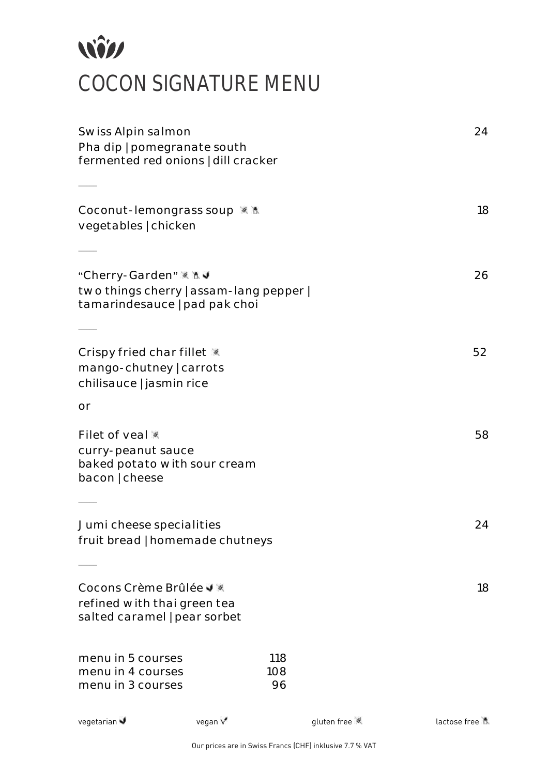# *<u>Will</u>* COCON SIGNATURE MENU

| Swiss Alpin salmon<br>Pha dip   pomegranate south<br>fermented red onions   dill cracker          | 24      |                  |             |              |
|---------------------------------------------------------------------------------------------------|---------|------------------|-------------|--------------|
|                                                                                                   |         |                  |             |              |
| Coconut-lemongrass soup <><br>vegetables   chicken                                                |         |                  |             | 18           |
|                                                                                                   |         |                  |             |              |
| "Cherry-Garden" ※ N J<br>two things cherry   assam-lang pepper  <br>tamarindesauce   pad pak choi |         |                  |             | 26           |
|                                                                                                   |         |                  |             |              |
| Crispy fried char fillet *<br>mango-chutney   carrots<br>chilisauce   jasmin rice                 |         |                  |             | 52           |
| or                                                                                                |         |                  |             |              |
| Filet of yeal<br>curry-peanut sauce<br>baked potato with sour cream<br>bacon   cheese             |         |                  |             | 58           |
|                                                                                                   |         |                  |             |              |
| Jumi cheese specialities<br>fruit bread   homemade chutneys                                       |         |                  |             | 24           |
|                                                                                                   |         |                  |             |              |
| Cocons Crème Brûlée J<br>refined with thai green tea<br>salted caramel   pear sorbet              |         |                  |             | 18           |
| menu in 5 courses<br>menu in 4 courses<br>menu in 3 courses                                       |         | 118<br>108<br>96 |             |              |
| vegetarian                                                                                        | vegan V |                  | gluten free | lactose free |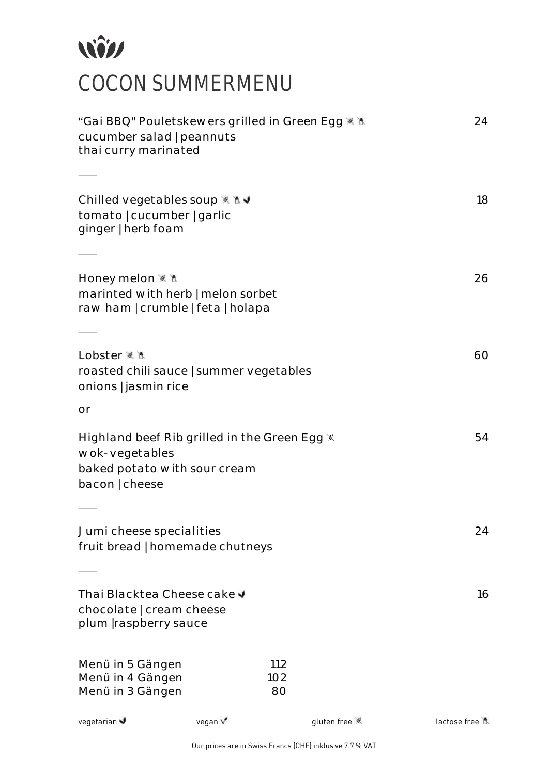# NÎN COCON SUMMERMENU

| "Gai BBQ" Pouletskewers grilled in Green Egg * M<br>cucumber salad   peannuts<br>thai curry marinated            | 24      |            |             |              |
|------------------------------------------------------------------------------------------------------------------|---------|------------|-------------|--------------|
| Chilled vegetables soup ※ M J                                                                                    |         |            |             | 18           |
| tomato   cucumber   garlic<br>ginger   herb foam                                                                 |         |            |             |              |
|                                                                                                                  |         |            |             |              |
| Honey melon ※ M<br>marinted with herb   melon sorbet<br>raw ham   crumble   feta   holapa                        |         |            |             | 26           |
|                                                                                                                  |         |            |             |              |
| Lobster ※ M<br>roasted chili sauce   summer vegetables<br>onions   jasmin rice                                   |         |            |             | 60           |
| or                                                                                                               |         |            |             |              |
| Highland beef Rib grilled in the Green Egg *<br>wok-vegetables<br>baked potato with sour cream<br>bacon   cheese |         |            |             | 54           |
|                                                                                                                  |         |            |             |              |
| Jumi cheese specialities<br>fruit bread   homemade chutneys                                                      |         |            |             | 24           |
| Thai Blacktea Cheese cake J<br>chocolate   cream cheese<br>plum   raspberry sauce                                |         |            |             | 16           |
| Menü in 5 Gängen<br>Menü in 4 Gängen                                                                             |         | 112<br>102 |             |              |
| Menü in 3 Gängen                                                                                                 |         | 80         |             |              |
| vegetarian                                                                                                       | vegan V |            | gluten free | lactose free |